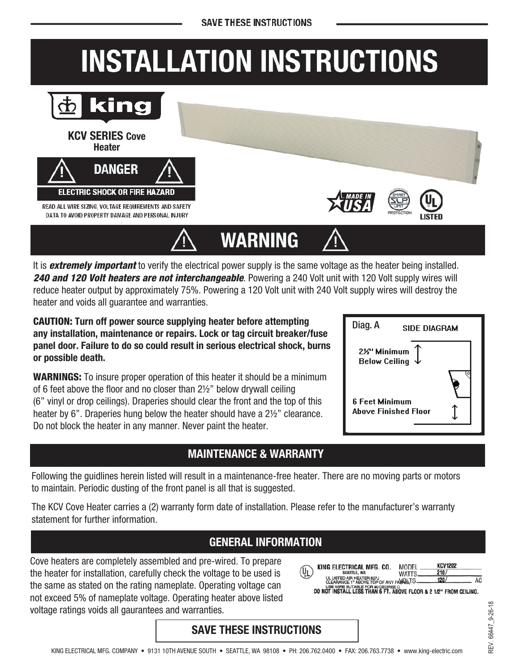## **INSTALLATION INSTRUCTIONS**



It is *extremely important* to verify the electrical power supply is the same voltage as the heater being installed. 240 and 120 Volt heaters are not interchangeable. Powering a 240 Volt unit with 120 Volt supply wires will reduce heater output by approximately 75%. Powering a 120 Volt unit with 240 Volt supply wires will destroy the heater and voids all guarantee and warranties.

CAUTION: Turn off power source supplying heater before attempting any installation, maintenance or repairs. Lock or tag circuit breaker/fuse panel door. Failure to do so could result in serious electrical shock, burns or possible death.

**WARNINGS:** To insure proper operation of this heater it should be a minimum of 6 feet above the floor and no closer than 2½" below drywall ceiling (6" vinyl or drop ceilings). Draperies should clear the front and the top of this heater by 6". Draperies hung below the heater should have a 2½" clearance. Do not block the heater in any manner. Never paint the heater.

#### MAINTENANCE & WARRANTY

Following the guidlines herein listed will result in a maintenance-free heater. There are no moving parts or motors to maintain. Periodic dusting of the front panel is all that is suggested.

The KCV Cove Heater carries a (2) warranty form date of installation. Please refer to the manufacturer's warranty statement for further information.

#### GENERAL INFORMATION

Cove heaters are completely assembled and pre-wired. To prepare the heater for installation, carefully check the voltage to be used is the same as stated on the rating nameplate. Operating voltage can not exceed 5% of nameplate voltage. Operating heater above listed voltage ratings voids all gaurantees and warranties.

| (Ų <sub>L</sub> | KING ELECTRICAL MFG. CO.<br><b>SEATTLE, WA</b>                                                                                                                              | MODEL<br><b>WATTS</b> | <b>KCV1202</b><br>210. |  |
|-----------------|-----------------------------------------------------------------------------------------------------------------------------------------------------------------------------|-----------------------|------------------------|--|
|                 | UL LISTED AIR HEATER 827J<br>CLEARANCE 1" ABOVE TOP OF ANY FAULTS.<br>USE WHE SUTABLE FOR 80 DEGREE C.<br>DD NOT INSTALL LESS THAN 6 FT. ABOVE FLOOR & 2 1/2" FROM CEILING. |                       | 120/                   |  |
|                 |                                                                                                                                                                             |                       |                        |  |

#### SAVE THESE INSTRUCTIONS

| Diag. A<br>SIDE DIAGBAM                       |  |  |  |
|-----------------------------------------------|--|--|--|
| 2½" Minimum<br><b>Below Ceiling</b>           |  |  |  |
| 6 Feet Minimum<br><b>Above Finished Floor</b> |  |  |  |

Diag. A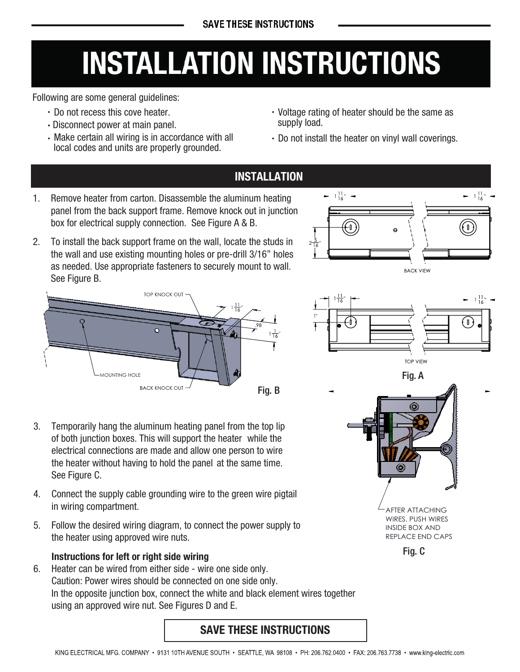# **INSTALLATION INSTRUCTIONS**

Following are some general guidelines:

- Do not recess this cove heater.
- Disconnect power at main panel.
- Make certain all wiring is in accordance with all local codes and units are properly grounded.
- Voltage rating of heater should be the same as supply load.
- Do not install the heater on vinyl wall coverings.

 $-1\frac{11}{16}$ "

 $\pmb{\mathbb{I}}$ 

 $\pmb{0}$ 

**BACK VIEW** 

**TOP VIEW** 

**AFTER ATTACHING** WIRES. PUSH WIRES

**INSIDE BOX AND** REPLACE END CAPS

Fig. C

Fig. A

 $-1\frac{11}{16}$   $-$ 

### **INSTALLATION**

- $1<sub>1</sub>$ Remove heater from carton. Disassemble the aluminum heating panel from the back support frame. Remove knock out in junction box for electrical supply connection. See Figure A & B.
- $2.$ To install the back support frame on the wall, locate the studs in the wall and use existing mounting holes or pre-drill 3/16" holes as needed. Use appropriate fasteners to securely mount to wall. See Figure B.



- Temporarily hang the aluminum heating panel from the top lip  $3<sub>1</sub>$ of both junction boxes. This will support the heater while the electrical connections are made and allow one person to wire the heater without having to hold the panel at the same time. See Figure C.
- 4. Connect the supply cable grounding wire to the green wire pigtail in wiring compartment.
- Follow the desired wiring diagram, to connect the power supply to 5. the heater using approved wire nuts.

#### Instructions for left or right side wiring

Heater can be wired from either side - wire one side only.  $6<sub>1</sub>$ Caution: Power wires should be connected on one side only. In the opposite junction box, connect the white and black element wires together using an approved wire nut. See Figures D and E.